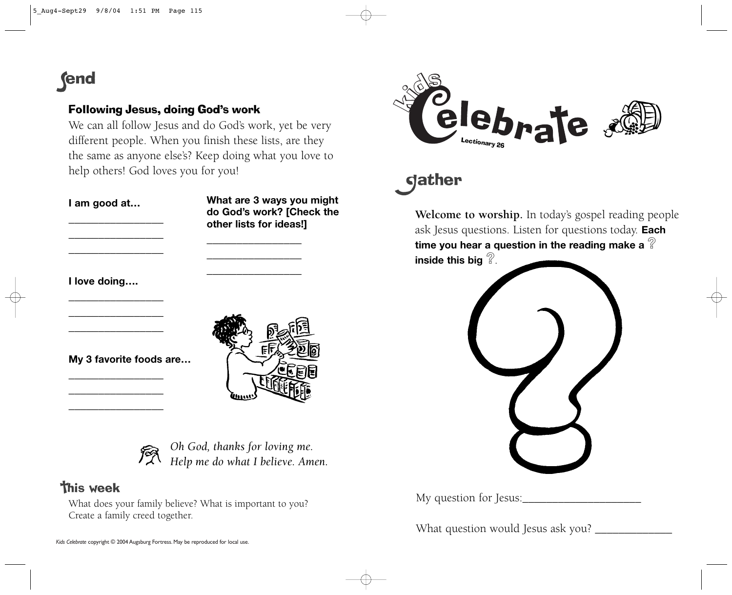# **end**

### Following Jesus, doing God's work

We can all follow Jesus and do God's work, yet be very different people. When you finish these lists, are they the same as anyone else's? Keep doing what you love to help others! God loves you for you!

#### **I am good at…**

**What are 3 ways you might do God's work? [Check the other lists for ideas!]**

**I love doing….**







*Oh God, thanks for loving me. Help me do what I believe. Amen.*

## **This week**

What does your family believe? What is important to you? Create a family creed together.





**Welcome to worship.** In today's gospel reading people ask Jesus questions. Listen for questions today. **Each time you hear a question in the reading make a ? inside this big ?**.



My question for Jesus:

What question would Jesus ask you? \_\_\_\_\_\_\_\_\_\_\_\_\_